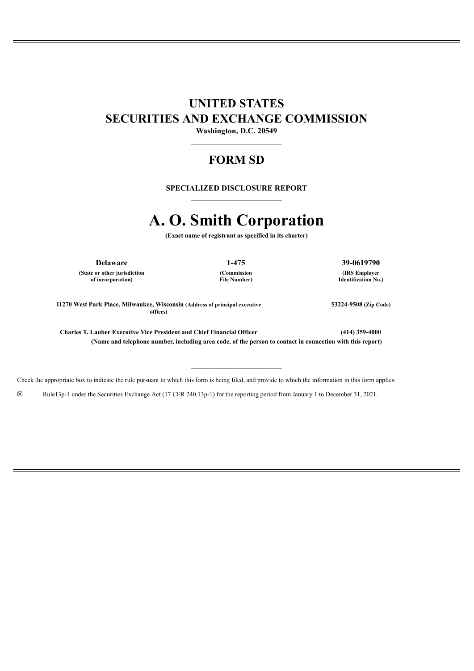# **UNITED STATES SECURITIES AND EXCHANGE COMMISSION**

**Washington, D.C. 20549** ——————————————

# **FORM SD**

# —————————————— **SPECIALIZED DISCLOSURE REPORT** ——————————————

# **A. O. Smith Corporation**

**(Exact name of registrant as specified in its charter)** ——————————————

**(State or other jurisdiction of incorporation)**

**(Commission File Number)**

——————————————

**Delaware 1-475 39-0619790 (IRS Employer Identification No.)**

**53224-9508 (Zip Code)**

**11270 West Park Place, Milwaukee, Wisconsin (Address of principal executive offices)**

**Charles T. Lauber Executive Vice President and Chief Financial Officer (414) 359-4000 (Name and telephone number, including area code, of the person to contact in connection with this report)**

Check the appropriate box to indicate the rule pursuant to which this form is being filed, and provide to which the information in this form applies:

☒ Rule13p-1 under the Securities Exchange Act (17 CFR 240.13p-1) for the reporting period from January 1 to December 31, 2021.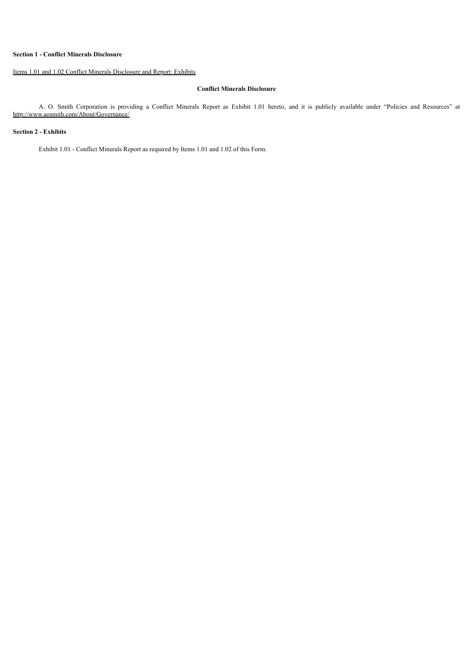#### **Section 1 - Conflict Minerals Disclosure**

## Items 1.01 and 1.02 Conflict Minerals Disclosure and Report: Exhibits

#### **Conflict Minerals Disclosure**

A. O. Smith Corporation is providing a Conflict Minerals Report as Exhibit 1.01 hereto, and it is publicly available under "Policies and Resources" at http://www.aosmith.com/About/Governance/.

#### **Section 2 - Exhibits**

Exhibit 1.01 - Conflict Minerals Report as required by Items 1.01 and 1.02 of this Form.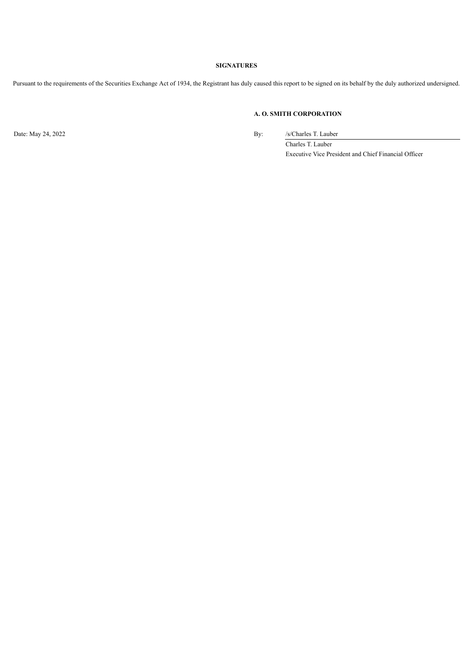## **SIGNATURES**

Pursuant to the requirements of the Securities Exchange Act of 1934, the Registrant has duly caused this report to be signed on its behalf by the duly authorized undersigned.

## **A. O. SMITH CORPORATION**

Date: May 24, 2022 By: /s/Charles T. Lauber

Charles T. Lauber Executive Vice President and Chief Financial Officer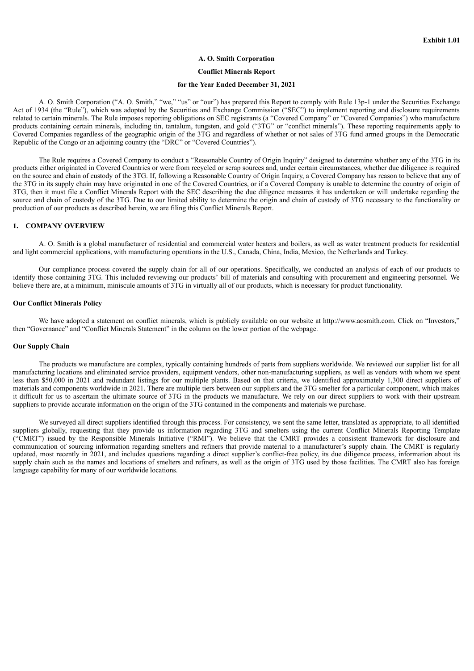#### **A. O. Smith Corporation**

#### **Conflict Minerals Report**

#### **for the Year Ended December 31, 2021**

A. O. Smith Corporation ("A. O. Smith," "we," "us" or "our") has prepared this Report to comply with Rule 13p-1 under the Securities Exchange Act of 1934 (the "Rule"), which was adopted by the Securities and Exchange Commission ("SEC") to implement reporting and disclosure requirements related to certain minerals. The Rule imposes reporting obligations on SEC registrants (a "Covered Company" or "Covered Companies") who manufacture products containing certain minerals, including tin, tantalum, tungsten, and gold ("3TG" or "conflict minerals"). These reporting requirements apply to Covered Companies regardless of the geographic origin of the 3TG and regardless of whether or not sales of 3TG fund armed groups in the Democratic Republic of the Congo or an adjoining country (the "DRC" or "Covered Countries").

The Rule requires a Covered Company to conduct a "Reasonable Country of Origin Inquiry" designed to determine whether any of the 3TG in its products either originated in Covered Countries or were from recycled or scrap sources and, under certain circumstances, whether due diligence is required on the source and chain of custody of the 3TG. If, following a Reasonable Country of Origin Inquiry, a Covered Company has reason to believe that any of the 3TG in its supply chain may have originated in one of the Covered Countries, or if a Covered Company is unable to determine the country of origin of 3TG, then it must file a Conflict Minerals Report with the SEC describing the due diligence measures it has undertaken or will undertake regarding the source and chain of custody of the 3TG. Due to our limited ability to determine the origin and chain of custody of 3TG necessary to the functionality or production of our products as described herein, we are filing this Conflict Minerals Report.

#### **1. COMPANY OVERVIEW**

A. O. Smith is a global manufacturer of residential and commercial water heaters and boilers, as well as water treatment products for residential and light commercial applications, with manufacturing operations in the U.S., Canada, China, India, Mexico, the Netherlands and Turkey.

Our compliance process covered the supply chain for all of our operations. Specifically, we conducted an analysis of each of our products to identify those containing 3TG. This included reviewing our products' bill of materials and consulting with procurement and engineering personnel. We believe there are, at a minimum, miniscule amounts of 3TG in virtually all of our products, which is necessary for product functionality.

#### **Our Conflict Minerals Policy**

We have adopted a statement on conflict minerals, which is publicly available on our website at http://www.aosmith.com. Click on "Investors," then "Governance" and "Conflict Minerals Statement" in the column on the lower portion of the webpage.

#### **Our Supply Chain**

The products we manufacture are complex, typically containing hundreds of parts from suppliers worldwide. We reviewed our supplier list for all manufacturing locations and eliminated service providers, equipment vendors, other non-manufacturing suppliers, as well as vendors with whom we spent less than \$50,000 in 2021 and redundant listings for our multiple plants. Based on that criteria, we identified approximately 1,300 direct suppliers of materials and components worldwide in 2021. There are multiple tiers between our suppliers and the 3TG smelter for a particular component, which makes it difficult for us to ascertain the ultimate source of 3TG in the products we manufacture. We rely on our direct suppliers to work with their upstream suppliers to provide accurate information on the origin of the 3TG contained in the components and materials we purchase.

We surveyed all direct suppliers identified through this process. For consistency, we sent the same letter, translated as appropriate, to all identified suppliers globally, requesting that they provide us information regarding 3TG and smelters using the current Conflict Minerals Reporting Template ("CMRT") issued by the Responsible Minerals Initiative ("RMI"). We believe that the CMRT provides a consistent framework for disclosure and communication of sourcing information regarding smelters and refiners that provide material to a manufacturer's supply chain. The CMRT is regularly updated, most recently in 2021, and includes questions regarding a direct supplier's conflict-free policy, its due diligence process, information about its supply chain such as the names and locations of smelters and refiners, as well as the origin of 3TG used by those facilities. The CMRT also has foreign language capability for many of our worldwide locations.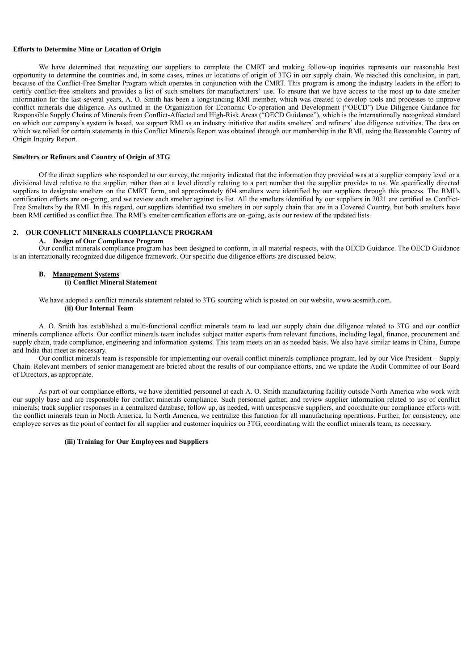#### **Efforts to Determine Mine or Location of Origin**

We have determined that requesting our suppliers to complete the CMRT and making follow-up inquiries represents our reasonable best opportunity to determine the countries and, in some cases, mines or locations of origin of 3TG in our supply chain. We reached this conclusion, in part, because of the Conflict-Free Smelter Program which operates in conjunction with the CMRT. This program is among the industry leaders in the effort to certify conflict-free smelters and provides a list of such smelters for manufacturers' use. To ensure that we have access to the most up to date smelter information for the last several years, A. O. Smith has been a longstanding RMI member, which was created to develop tools and processes to improve conflict minerals due diligence. As outlined in the Organization for Economic Co-operation and Development ("OECD") Due Diligence Guidance for Responsible Supply Chains of Minerals from Conflict-Affected and High-Risk Areas ("OECD Guidance"), which is the internationally recognized standard on which our company's system is based, we support RMI as an industry initiative that audits smelters' and refiners' due diligence activities. The data on which we relied for certain statements in this Conflict Minerals Report was obtained through our membership in the RMI, using the Reasonable Country of Origin Inquiry Report.

#### **Smelters or Refiners and Country of Origin of 3TG**

Of the direct suppliers who responded to our survey, the majority indicated that the information they provided was at a supplier company level or a divisional level relative to the supplier, rather than at a level directly relating to a part number that the supplier provides to us. We specifically directed suppliers to designate smelters on the CMRT form, and approximately 604 smelters were identified by our suppliers through this process. The RMI's certification efforts are on-going, and we review each smelter against its list. All the smelters identified by our suppliers in 2021 are certified as Conflict-Free Smelters by the RMI. In this regard, our suppliers identified two smelters in our supply chain that are in a Covered Country, but both smelters have been RMI certified as conflict free. The RMI's smelter certification efforts are on-going, as is our review of the updated lists.

#### **2. OUR CONFLICT MINERALS COMPLIANCE PROGRAM**

#### **A. Design of Our Compliance Program**

Our conflict minerals compliance program has been designed to conform, in all material respects, with the OECD Guidance. The OECD Guidance is an internationally recognized due diligence framework. Our specific due diligence efforts are discussed below.

#### **B. Management Systems (i) Conflict Mineral Statement**

We have adopted a conflict minerals statement related to 3TG sourcing which is posted on our website, www.aosmith.com. **(ii) Our Internal Team**

A. O. Smith has established a multi-functional conflict minerals team to lead our supply chain due diligence related to 3TG and our conflict minerals compliance efforts. Our conflict minerals team includes subject matter experts from relevant functions, including legal, finance, procurement and supply chain, trade compliance, engineering and information systems. This team meets on an as needed basis. We also have similar teams in China, Europe and India that meet as necessary.

Our conflict minerals team is responsible for implementing our overall conflict minerals compliance program, led by our Vice President – Supply Chain. Relevant members of senior management are briefed about the results of our compliance efforts, and we update the Audit Committee of our Board of Directors, as appropriate.

As part of our compliance efforts, we have identified personnel at each A. O. Smith manufacturing facility outside North America who work with our supply base and are responsible for conflict minerals compliance. Such personnel gather, and review supplier information related to use of conflict minerals; track supplier responses in a centralized database, follow up, as needed, with unresponsive suppliers, and coordinate our compliance efforts with the conflict minerals team in North America. In North America, we centralize this function for all manufacturing operations. Further, for consistency, one employee serves as the point of contact for all supplier and customer inquiries on 3TG, coordinating with the conflict minerals team, as necessary.

#### **(iii) Training for Our Employees and Suppliers**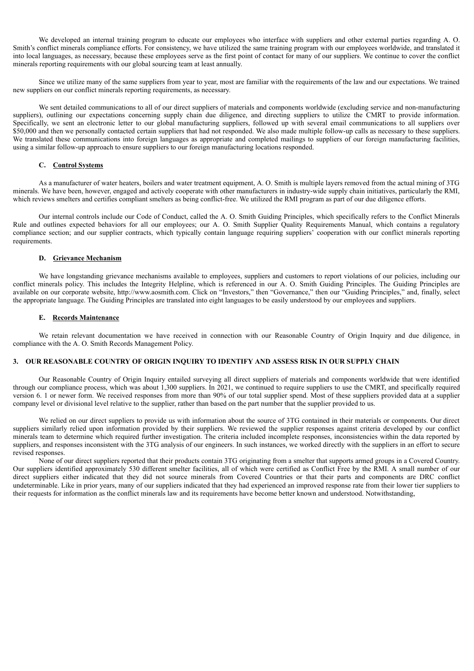We developed an internal training program to educate our employees who interface with suppliers and other external parties regarding A. O. Smith's conflict minerals compliance efforts. For consistency, we have utilized the same training program with our employees worldwide, and translated it into local languages, as necessary, because these employees serve as the first point of contact for many of our suppliers. We continue to cover the conflict minerals reporting requirements with our global sourcing team at least annually.

Since we utilize many of the same suppliers from year to year, most are familiar with the requirements of the law and our expectations. We trained new suppliers on our conflict minerals reporting requirements, as necessary.

We sent detailed communications to all of our direct suppliers of materials and components worldwide (excluding service and non-manufacturing suppliers), outlining our expectations concerning supply chain due diligence, and directing suppliers to utilize the CMRT to provide information. Specifically, we sent an electronic letter to our global manufacturing suppliers, followed up with several email communications to all suppliers over \$50,000 and then we personally contacted certain suppliers that had not responded. We also made multiple follow-up calls as necessary to these suppliers. We translated these communications into foreign languages as appropriate and completed mailings to suppliers of our foreign manufacturing facilities, using a similar follow-up approach to ensure suppliers to our foreign manufacturing locations responded.

#### **C. Control Systems**

As a manufacturer of water heaters, boilers and water treatment equipment, A. O. Smith is multiple layers removed from the actual mining of 3TG minerals. We have been, however, engaged and actively cooperate with other manufacturers in industry-wide supply chain initiatives, particularly the RMI, which reviews smelters and certifies compliant smelters as being conflict-free. We utilized the RMI program as part of our due diligence efforts.

Our internal controls include our Code of Conduct, called the A. O. Smith Guiding Principles, which specifically refers to the Conflict Minerals Rule and outlines expected behaviors for all our employees; our A. O. Smith Supplier Quality Requirements Manual, which contains a regulatory compliance section; and our supplier contracts, which typically contain language requiring suppliers' cooperation with our conflict minerals reporting requirements.

#### **D. Grievance Mechanism**

We have longstanding grievance mechanisms available to employees, suppliers and customers to report violations of our policies, including our conflict minerals policy. This includes the Integrity Helpline, which is referenced in our A. O. Smith Guiding Principles. The Guiding Principles are available on our corporate website, http://www.aosmith.com. Click on "Investors," then "Governance," then our "Guiding Principles," and, finally, select the appropriate language. The Guiding Principles are translated into eight languages to be easily understood by our employees and suppliers.

#### **E. Records Maintenance**

We retain relevant documentation we have received in connection with our Reasonable Country of Origin Inquiry and due diligence, in compliance with the A. O. Smith Records Management Policy.

### **3. OUR REASONABLE COUNTRY OF ORIGIN INQUIRY TO IDENTIFY AND ASSESS RISK IN OUR SUPPLY CHAIN**

Our Reasonable Country of Origin Inquiry entailed surveying all direct suppliers of materials and components worldwide that were identified through our compliance process, which was about 1,300 suppliers. In 2021, we continued to require suppliers to use the CMRT, and specifically required version 6. 1 or newer form. We received responses from more than 90% of our total supplier spend. Most of these suppliers provided data at a supplier company level or divisional level relative to the supplier, rather than based on the part number that the supplier provided to us.

We relied on our direct suppliers to provide us with information about the source of 3TG contained in their materials or components. Our direct suppliers similarly relied upon information provided by their suppliers. We reviewed the supplier responses against criteria developed by our conflict minerals team to determine which required further investigation. The criteria included incomplete responses, inconsistencies within the data reported by suppliers, and responses inconsistent with the 3TG analysis of our engineers. In such instances, we worked directly with the suppliers in an effort to secure revised responses.

None of our direct suppliers reported that their products contain 3TG originating from a smelter that supports armed groups in a Covered Country. Our suppliers identified approximately 530 different smelter facilities, all of which were certified as Conflict Free by the RMI. A small number of our direct suppliers either indicated that they did not source minerals from Covered Countries or that their parts and components are DRC conflict undeterminable. Like in prior years, many of our suppliers indicated that they had experienced an improved response rate from their lower tier suppliers to their requests for information as the conflict minerals law and its requirements have become better known and understood. Notwithstanding,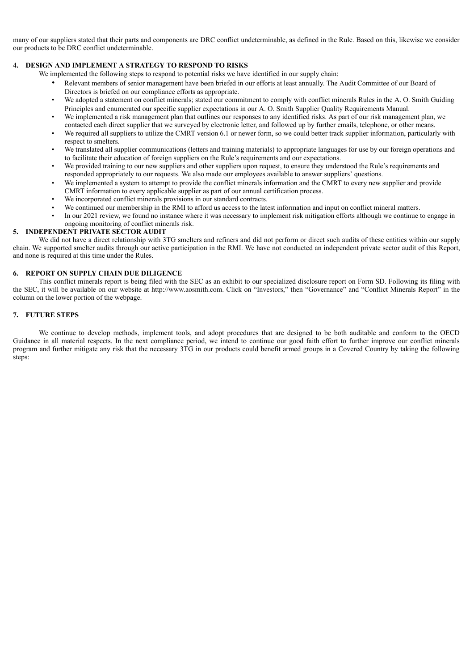many of our suppliers stated that their parts and components are DRC conflict undeterminable, as defined in the Rule. Based on this, likewise we consider our products to be DRC conflict undeterminable.

## **4. DESIGN AND IMPLEMENT A STRATEGY TO RESPOND TO RISKS**

We implemented the following steps to respond to potential risks we have identified in our supply chain:

- Relevant members of senior management have been briefed in our efforts at least annually. The Audit Committee of our Board of Directors is briefed on our compliance efforts as appropriate.
- We adopted a statement on conflict minerals; stated our commitment to comply with conflict minerals Rules in the A. O. Smith Guiding Principles and enumerated our specific supplier expectations in our A. O. Smith Supplier Quality Requirements Manual.
- We implemented a risk management plan that outlines our responses to any identified risks. As part of our risk management plan, we contacted each direct supplier that we surveyed by electronic letter, and followed up by further emails, telephone, or other means.
- We required all suppliers to utilize the CMRT version 6.1 or newer form, so we could better track supplier information, particularly with respect to smelters.
- We translated all supplier communications (letters and training materials) to appropriate languages for use by our foreign operations and to facilitate their education of foreign suppliers on the Rule's requirements and our expectations.
- We provided training to our new suppliers and other suppliers upon request, to ensure they understood the Rule's requirements and responded appropriately to our requests. We also made our employees available to answer suppliers' questions.
- We implemented a system to attempt to provide the conflict minerals information and the CMRT to every new supplier and provide CMRT information to every applicable supplier as part of our annual certification process.
- We incorporated conflict minerals provisions in our standard contracts.
- We continued our membership in the RMI to afford us access to the latest information and input on conflict mineral matters.
- In our 2021 review, we found no instance where it was necessary to implement risk mitigation efforts although we continue to engage in ongoing monitoring of conflict minerals risk.

#### **5. INDEPENDENT PRIVATE SECTOR AUDIT**

We did not have a direct relationship with 3TG smelters and refiners and did not perform or direct such audits of these entities within our supply chain. We supported smelter audits through our active participation in the RMI. We have not conducted an independent private sector audit of this Report, and none is required at this time under the Rules.

#### **6. REPORT ON SUPPLY CHAIN DUE DILIGENCE**

This conflict minerals report is being filed with the SEC as an exhibit to our specialized disclosure report on Form SD. Following its filing with the SEC, it will be available on our website at http://www.aosmith.com. Click on "Investors," then "Governance" and "Conflict Minerals Report" in the column on the lower portion of the webpage.

#### **7. FUTURE STEPS**

We continue to develop methods, implement tools, and adopt procedures that are designed to be both auditable and conform to the OECD Guidance in all material respects. In the next compliance period, we intend to continue our good faith effort to further improve our conflict minerals program and further mitigate any risk that the necessary 3TG in our products could benefit armed groups in a Covered Country by taking the following steps: